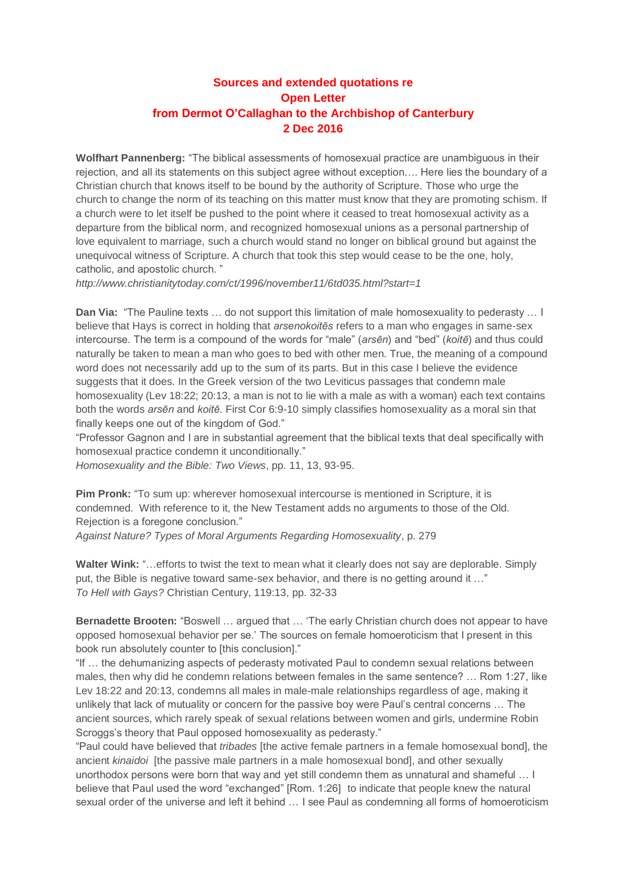## **Sources and extended quotations re Open Letter from Dermot O'Callaghan to the Archbishop of Canterbury 2 Dec 2016**

**Wolfhart Pannenberg:** "The biblical assessments of homosexual practice are unambiguous in their rejection, and all its statements on this subject agree without exception…. Here lies the boundary of a Christian church that knows itself to be bound by the authority of Scripture. Those who urge the church to change the norm of its teaching on this matter must know that they are promoting schism. If a church were to let itself be pushed to the point where it ceased to treat homosexual activity as a departure from the biblical norm, and recognized homosexual unions as a personal partnership of love equivalent to marriage, such a church would stand no longer on biblical ground but against the unequivocal witness of Scripture. A church that took this step would cease to be the one, holy, catholic, and apostolic church. "

*<http://www.christianitytoday.com/ct/1996/november11/6td035.html?start=1>*

**Dan Via:** "The Pauline texts … do not support this limitation of male homosexuality to pederasty … I believe that Hays is correct in holding that *arsenokoitēs* refers to a man who engages in same-sex intercourse. The term is a compound of the words for "male" (*arsēn*) and "bed" (*koitē*) and thus could naturally be taken to mean a man who goes to bed with other men. True, the meaning of a compound word does not necessarily add up to the sum of its parts. But in this case I believe the evidence suggests that it does. In the Greek version of the two Leviticus passages that condemn male homosexuality (Lev 18:22; 20:13, a man is not to lie with a male as with a woman) each text contains both the words *arsēn* and *koitē*. First Cor 6:9-10 simply classifies homosexuality as a moral sin that finally keeps one out of the kingdom of God."

"Professor Gagnon and I are in substantial agreement that the biblical texts that deal specifically with homosexual practice condemn it unconditionally."

*Homosexuality and the Bible: Two Views*, pp. 11, 13, 93-95.

**Pim Pronk:** "To sum up: wherever homosexual intercourse is mentioned in Scripture, it is condemned. With reference to it, the New Testament adds no arguments to those of the Old. Rejection is a foregone conclusion."

*Against Nature? Types of Moral Arguments Regarding Homosexuality*, p. 279

**Walter Wink:** "…efforts to twist the text to mean what it clearly does not say are deplorable. Simply put, the Bible is negative toward same-sex behavior, and there is no getting around it …" *To Hell with Gays?* Christian Century, 119:13, pp. 32-33

**Bernadette Brooten:** "Boswell … argued that … 'The early Christian church does not appear to have opposed homosexual behavior per se.' The sources on female homoeroticism that I present in this book run absolutely counter to [this conclusion]."

"If … the dehumanizing aspects of pederasty motivated Paul to condemn sexual relations between males, then why did he condemn relations between females in the same sentence? … Rom 1:27, like Lev 18:22 and 20:13, condemns all males in male-male relationships regardless of age, making it unlikely that lack of mutuality or concern for the passive boy were Paul's central concerns … The ancient sources, which rarely speak of sexual relations between women and girls, undermine Robin Scroggs's theory that Paul opposed homosexuality as pederasty."

"Paul could have believed that *tribades* [the active female partners in a female homosexual bond], the ancient *kinaidoi* [the passive male partners in a male homosexual bond], and other sexually unorthodox persons were born that way and yet still condemn them as unnatural and shameful … I believe that Paul used the word "exchanged" [Rom. 1:26] to indicate that people knew the natural sexual order of the universe and left it behind … I see Paul as condemning all forms of homoeroticism